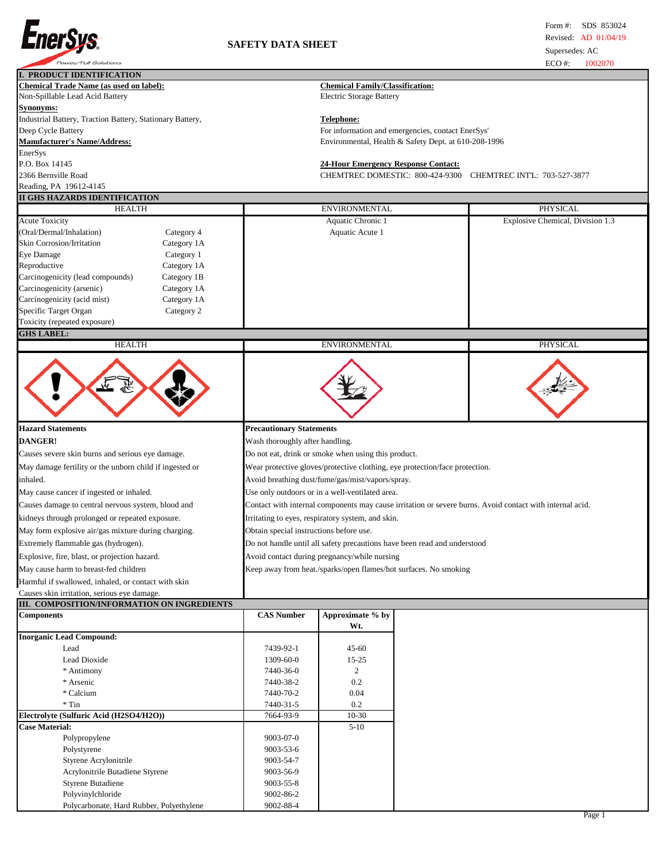

| I. PRODUCT IDENTIFICATION                                 |                                                                                                          |                                                             |  |                                  |  |
|-----------------------------------------------------------|----------------------------------------------------------------------------------------------------------|-------------------------------------------------------------|--|----------------------------------|--|
| <b>Chemical Trade Name (as used on label):</b>            | <b>Chemical Family/Classification:</b>                                                                   |                                                             |  |                                  |  |
| Non-Spillable Lead Acid Battery                           | <b>Electric Storage Battery</b>                                                                          |                                                             |  |                                  |  |
| Synonyms:                                                 |                                                                                                          |                                                             |  |                                  |  |
| Industrial Battery, Traction Battery, Stationary Battery, |                                                                                                          | <b>Telephone:</b>                                           |  |                                  |  |
| Deep Cycle Battery                                        |                                                                                                          | For information and emergencies, contact EnerSys'           |  |                                  |  |
| <b>Manufacturer's Name/Address:</b>                       |                                                                                                          | Environmental, Health & Safety Dept. at 610-208-1996        |  |                                  |  |
| EnerSys                                                   |                                                                                                          |                                                             |  |                                  |  |
| P.O. Box 14145                                            |                                                                                                          | <b>24-Hour Emergency Response Contact:</b>                  |  |                                  |  |
| 2366 Bernville Road                                       |                                                                                                          | CHEMTREC DOMESTIC: 800-424-9300 CHEMTREC INTL: 703-527-3877 |  |                                  |  |
| Reading, PA 19612-4145                                    |                                                                                                          |                                                             |  |                                  |  |
| II GHS HAZARDS IDENTIFICATION                             |                                                                                                          |                                                             |  |                                  |  |
| <b>HEALTH</b>                                             | <b>ENVIRONMENTAL</b>                                                                                     |                                                             |  | PHYSICAL                         |  |
| <b>Acute Toxicity</b>                                     |                                                                                                          | Aquatic Chronic 1                                           |  | Explosive Chemical, Division 1.3 |  |
| (Oral/Dermal/Inhalation)<br>Category 4                    |                                                                                                          | Aquatic Acute 1                                             |  |                                  |  |
| <b>Skin Corrosion/Irritation</b><br>Category 1A           |                                                                                                          |                                                             |  |                                  |  |
| <b>Eye Damage</b><br>Category 1                           |                                                                                                          |                                                             |  |                                  |  |
| Reproductive<br>Category 1A                               |                                                                                                          |                                                             |  |                                  |  |
| Carcinogenicity (lead compounds)<br>Category 1B           |                                                                                                          |                                                             |  |                                  |  |
| Carcinogenicity (arsenic)<br>Category 1A                  |                                                                                                          |                                                             |  |                                  |  |
| Carcinogenicity (acid mist)<br>Category 1A                |                                                                                                          |                                                             |  |                                  |  |
| Specific Target Organ<br>Category 2                       |                                                                                                          |                                                             |  |                                  |  |
| Toxicity (repeated exposure)                              |                                                                                                          |                                                             |  |                                  |  |
| <b>GHS LABEL:</b>                                         |                                                                                                          |                                                             |  |                                  |  |
| <b>HEALTH</b>                                             |                                                                                                          | <b>ENVIRONMENTAL</b>                                        |  | PHYSICAL                         |  |
| يبتين                                                     |                                                                                                          |                                                             |  |                                  |  |
| <b>Hazard Statements</b>                                  | <b>Precautionary Statements</b>                                                                          |                                                             |  |                                  |  |
| <b>DANGER!</b>                                            | Wash thoroughly after handling.                                                                          |                                                             |  |                                  |  |
| Causes severe skin burns and serious eye damage.          | Do not eat, drink or smoke when using this product.                                                      |                                                             |  |                                  |  |
| May damage fertility or the unborn child if ingested or   | Wear protective gloves/protective clothing, eye protection/face protection.                              |                                                             |  |                                  |  |
| inhaled.                                                  | Avoid breathing dust/fume/gas/mist/vapors/spray.                                                         |                                                             |  |                                  |  |
| May cause cancer if ingested or inhaled.                  | Use only outdoors or in a well-ventilated area.                                                          |                                                             |  |                                  |  |
|                                                           |                                                                                                          |                                                             |  |                                  |  |
| Causes damage to central nervous system, blood and        | Contact with internal components may cause irritation or severe burns. Avoid contact with internal acid. |                                                             |  |                                  |  |
| kidneys through prolonged or repeated exposure.           | Irritating to eyes, respiratory system, and skin.                                                        |                                                             |  |                                  |  |
| May form explosive air/gas mixture during charging.       | Obtain special instructions before use.                                                                  |                                                             |  |                                  |  |
| Extremely flammable gas (hydrogen).                       | Do not handle until all safety precautions have been read and understood                                 |                                                             |  |                                  |  |
| Explosive, fire, blast, or projection hazard.             | Avoid contact during pregnancy/while nursing                                                             |                                                             |  |                                  |  |
| May cause harm to breast-fed children                     | Keep away from heat./sparks/open flames/hot surfaces. No smoking                                         |                                                             |  |                                  |  |
| Harmful if swallowed, inhaled, or contact with skin       |                                                                                                          |                                                             |  |                                  |  |
| Causes skin irritation, serious eye damage.               |                                                                                                          |                                                             |  |                                  |  |
| III. COMPOSITION/INFORMATION ON INGREDIENTS               |                                                                                                          |                                                             |  |                                  |  |
| <b>Components</b>                                         | <b>CAS Number</b>                                                                                        | Approximate % by<br>Wt.                                     |  |                                  |  |
| <b>Inorganic Lead Compound:</b>                           |                                                                                                          |                                                             |  |                                  |  |
| Lead                                                      | 7439-92-1                                                                                                | $45 - 60$                                                   |  |                                  |  |
| Lead Dioxide                                              | 1309-60-0                                                                                                | $15 - 25$                                                   |  |                                  |  |
| * Antimony                                                | 7440-36-0                                                                                                | $\overline{c}$                                              |  |                                  |  |
| * Arsenic                                                 | 7440-38-2                                                                                                | 0.2                                                         |  |                                  |  |
| * Calcium                                                 | 7440-70-2                                                                                                | 0.04                                                        |  |                                  |  |
| $*$ Tin                                                   | 7440-31-5                                                                                                | 0.2                                                         |  |                                  |  |
| Electrolyte (Sulfuric Acid (H2SO4/H2O))                   | 7664-93-9                                                                                                | $10 - 30$                                                   |  |                                  |  |

**Case Material:** 5-10 Polypropylene 9003-07-0 Polystyrene 9003-53-6 Styrene Acrylonitrile 9003-54-7 Acrylonitrile Butadiene Styrene 9003-56-9 Styrene Butadiene 9003-55-8 Polyvinylchloride 9002-86-2<br>Polycarbonate, Hard Rubber, Polyethylene 9002-88-4

Polycarbonate, Hard Rubber, Polyethylene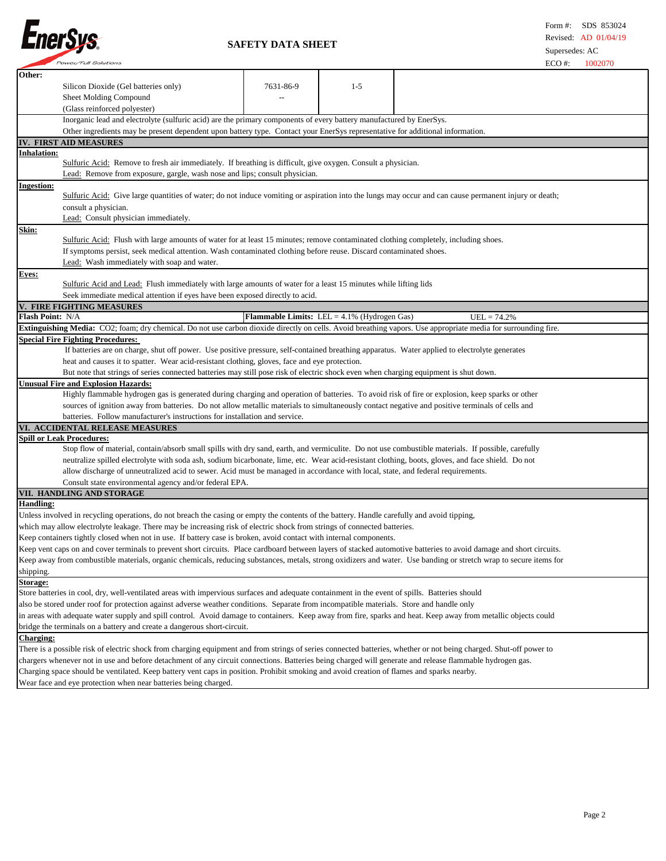

 **SAFETY DATA SHEET**

|                                                                                                                                                                     | <i>Power/Full Solutions</i>                                                                                                                                    |           |                                                       | $ECO \#$      | 1002070 |
|---------------------------------------------------------------------------------------------------------------------------------------------------------------------|----------------------------------------------------------------------------------------------------------------------------------------------------------------|-----------|-------------------------------------------------------|---------------|---------|
| Other:                                                                                                                                                              |                                                                                                                                                                |           |                                                       |               |         |
|                                                                                                                                                                     | Silicon Dioxide (Gel batteries only)                                                                                                                           | 7631-86-9 | $1 - 5$                                               |               |         |
|                                                                                                                                                                     | Sheet Molding Compound                                                                                                                                         |           |                                                       |               |         |
|                                                                                                                                                                     |                                                                                                                                                                |           |                                                       |               |         |
|                                                                                                                                                                     | (Glass reinforced polyester)<br>Inorganic lead and electrolyte (sulfuric acid) are the primary components of every battery manufactured by EnerSys.            |           |                                                       |               |         |
|                                                                                                                                                                     | Other ingredients may be present dependent upon battery type. Contact your EnerSys representative for additional information.                                  |           |                                                       |               |         |
|                                                                                                                                                                     |                                                                                                                                                                |           |                                                       |               |         |
|                                                                                                                                                                     | IV. FIRST AID MEASURES                                                                                                                                         |           |                                                       |               |         |
| Inhalation:                                                                                                                                                         |                                                                                                                                                                |           |                                                       |               |         |
|                                                                                                                                                                     | Sulfuric Acid: Remove to fresh air immediately. If breathing is difficult, give oxygen. Consult a physician.                                                   |           |                                                       |               |         |
|                                                                                                                                                                     | Lead: Remove from exposure, gargle, wash nose and lips; consult physician.                                                                                     |           |                                                       |               |         |
| Ingestion:                                                                                                                                                          |                                                                                                                                                                |           |                                                       |               |         |
|                                                                                                                                                                     | Sulfuric Acid: Give large quantities of water; do not induce vomiting or aspiration into the lungs may occur and can cause permanent injury or death;          |           |                                                       |               |         |
|                                                                                                                                                                     | consult a physician.                                                                                                                                           |           |                                                       |               |         |
|                                                                                                                                                                     | Lead: Consult physician immediately.                                                                                                                           |           |                                                       |               |         |
| Skin:                                                                                                                                                               |                                                                                                                                                                |           |                                                       |               |         |
|                                                                                                                                                                     | Sulfuric Acid: Flush with large amounts of water for at least 15 minutes; remove contaminated clothing completely, including shoes.                            |           |                                                       |               |         |
|                                                                                                                                                                     | If symptoms persist, seek medical attention. Wash contaminated clothing before reuse. Discard contaminated shoes.                                              |           |                                                       |               |         |
|                                                                                                                                                                     | Lead: Wash immediately with soap and water.                                                                                                                    |           |                                                       |               |         |
| <b>Eyes:</b>                                                                                                                                                        |                                                                                                                                                                |           |                                                       |               |         |
|                                                                                                                                                                     | Sulfuric Acid and Lead: Flush immediately with large amounts of water for a least 15 minutes while lifting lids                                                |           |                                                       |               |         |
|                                                                                                                                                                     | Seek immediate medical attention if eyes have been exposed directly to acid.                                                                                   |           |                                                       |               |         |
|                                                                                                                                                                     | V. FIRE FIGHTING MEASURES                                                                                                                                      |           |                                                       |               |         |
| <b>Flash Point: N/A</b>                                                                                                                                             |                                                                                                                                                                |           | <b>Flammable Limits:</b> LEL = $4.1\%$ (Hydrogen Gas) | $UEL = 74.2%$ |         |
|                                                                                                                                                                     |                                                                                                                                                                |           |                                                       |               |         |
|                                                                                                                                                                     | Extinguishing Media: CO2; foam; dry chemical. Do not use carbon dioxide directly on cells. Avoid breathing vapors. Use appropriate media for surrounding fire. |           |                                                       |               |         |
|                                                                                                                                                                     | <b>Special Fire Fighting Procedures:</b>                                                                                                                       |           |                                                       |               |         |
|                                                                                                                                                                     | If batteries are on charge, shut off power. Use positive pressure, self-contained breathing apparatus. Water applied to electrolyte generates                  |           |                                                       |               |         |
|                                                                                                                                                                     | heat and causes it to spatter. Wear acid-resistant clothing, gloves, face and eye protection.                                                                  |           |                                                       |               |         |
|                                                                                                                                                                     | But note that strings of series connected batteries may still pose risk of electric shock even when charging equipment is shut down.                           |           |                                                       |               |         |
|                                                                                                                                                                     | <b>Unusual Fire and Explosion Hazards:</b>                                                                                                                     |           |                                                       |               |         |
|                                                                                                                                                                     | Highly flammable hydrogen gas is generated during charging and operation of batteries. To avoid risk of fire or explosion, keep sparks or other                |           |                                                       |               |         |
|                                                                                                                                                                     | sources of ignition away from batteries. Do not allow metallic materials to simultaneously contact negative and positive terminals of cells and                |           |                                                       |               |         |
|                                                                                                                                                                     | batteries. Follow manufacturer's instructions for installation and service.                                                                                    |           |                                                       |               |         |
|                                                                                                                                                                     | VI. ACCIDENTAL RELEASE MEASURES                                                                                                                                |           |                                                       |               |         |
|                                                                                                                                                                     | <b>Spill or Leak Procedures:</b>                                                                                                                               |           |                                                       |               |         |
|                                                                                                                                                                     | Stop flow of material, contain/absorb small spills with dry sand, earth, and vermiculite. Do not use combustible materials. If possible, carefully             |           |                                                       |               |         |
|                                                                                                                                                                     | neutralize spilled electrolyte with soda ash, sodium bicarbonate, lime, etc. Wear acid-resistant clothing, boots, gloves, and face shield. Do not              |           |                                                       |               |         |
|                                                                                                                                                                     | allow discharge of unneutralized acid to sewer. Acid must be managed in accordance with local, state, and federal requirements.                                |           |                                                       |               |         |
|                                                                                                                                                                     | Consult state environmental agency and/or federal EPA.                                                                                                         |           |                                                       |               |         |
|                                                                                                                                                                     | VII. HANDLING AND STORAGE                                                                                                                                      |           |                                                       |               |         |
|                                                                                                                                                                     |                                                                                                                                                                |           |                                                       |               |         |
| <b>Handling:</b>                                                                                                                                                    |                                                                                                                                                                |           |                                                       |               |         |
|                                                                                                                                                                     | Unless involved in recycling operations, do not breach the casing or empty the contents of the battery. Handle carefully and avoid tipping,                    |           |                                                       |               |         |
| which may allow electrolyte leakage. There may be increasing risk of electric shock from strings of connected batteries.                                            |                                                                                                                                                                |           |                                                       |               |         |
| Keep containers tightly closed when not in use. If battery case is broken, avoid contact with internal components.                                                  |                                                                                                                                                                |           |                                                       |               |         |
| Keep vent caps on and cover terminals to prevent short circuits. Place cardboard between layers of stacked automotive batteries to avoid damage and short circuits. |                                                                                                                                                                |           |                                                       |               |         |
| Keep away from combustible materials, organic chemicals, reducing substances, metals, strong oxidizers and water. Use banding or stretch wrap to secure items for   |                                                                                                                                                                |           |                                                       |               |         |
| shipping.                                                                                                                                                           |                                                                                                                                                                |           |                                                       |               |         |
| <b>Storage:</b>                                                                                                                                                     |                                                                                                                                                                |           |                                                       |               |         |
| Store batteries in cool, dry, well-ventilated areas with impervious surfaces and adequate containment in the event of spills. Batteries should                      |                                                                                                                                                                |           |                                                       |               |         |
| also be stored under roof for protection against adverse weather conditions. Separate from incompatible materials. Store and handle only                            |                                                                                                                                                                |           |                                                       |               |         |
|                                                                                                                                                                     |                                                                                                                                                                |           |                                                       |               |         |
|                                                                                                                                                                     | in areas with adequate water supply and spill control. Avoid damage to containers. Keep away from fire, sparks and heat. Keep away from metallic objects could |           |                                                       |               |         |
| bridge the terminals on a battery and create a dangerous short-circuit.                                                                                             |                                                                                                                                                                |           |                                                       |               |         |
| Charging:                                                                                                                                                           |                                                                                                                                                                |           |                                                       |               |         |
| There is a possible risk of electric shock from charging equipment and from strings of series connected batteries, whether or not being charged. Shut-off power to  |                                                                                                                                                                |           |                                                       |               |         |
|                                                                                                                                                                     | chargers whenever not in use and before detachment of any circuit connections. Batteries being charged will generate and release flammable hydrogen gas.       |           |                                                       |               |         |
|                                                                                                                                                                     | Charging space should be ventilated. Keep battery vent caps in position. Prohibit smoking and avoid creation of flames and sparks nearby.                      |           |                                                       |               |         |

Wear face and eye protection when near batteries being charged.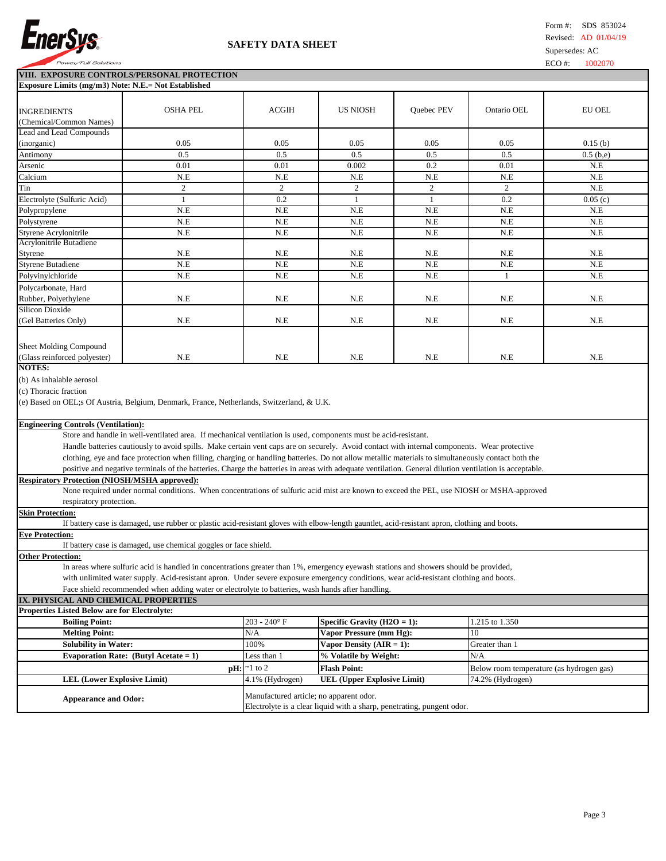

## **SAFETY DATA SHEET**

| VIII. EXPOSURE CONTROLS/PERSONAL PROTECTION                                                                                                            |                                                                                           |                                  |                                    |                |                                          |               |
|--------------------------------------------------------------------------------------------------------------------------------------------------------|-------------------------------------------------------------------------------------------|----------------------------------|------------------------------------|----------------|------------------------------------------|---------------|
| Exposure Limits (mg/m3) Note: N.E.= Not Established                                                                                                    |                                                                                           |                                  |                                    |                |                                          |               |
|                                                                                                                                                        |                                                                                           |                                  |                                    |                |                                          |               |
| <b>INGREDIENTS</b>                                                                                                                                     | <b>OSHA PEL</b>                                                                           | <b>ACGIH</b>                     | <b>US NIOSH</b>                    | Quebec PEV     | Ontario OEL                              | <b>EU OEL</b> |
| (Chemical/Common Names)                                                                                                                                |                                                                                           |                                  |                                    |                |                                          |               |
| <b>Lead and Lead Compounds</b>                                                                                                                         |                                                                                           |                                  |                                    |                |                                          |               |
| (inorganic)                                                                                                                                            | 0.05                                                                                      | 0.05                             | 0.05                               | 0.05           | 0.05                                     | 0.15(b)       |
| Antimony                                                                                                                                               | 0.5                                                                                       | 0.5                              | 0.5                                | 0.5            | 0.5                                      | $0.5$ (b,e)   |
| Arsenic                                                                                                                                                | 0.01                                                                                      | 0.01                             | 0.002                              | 0.2            | 0.01                                     | N.E           |
| Calcium                                                                                                                                                | N.E                                                                                       | N.E                              | N.E                                | N.E            | N.E                                      | N.E           |
| Tin                                                                                                                                                    | $\overline{c}$                                                                            | $\overline{2}$                   | 2                                  | $\overline{c}$ | 2                                        | N.E           |
| Electrolyte (Sulfuric Acid)                                                                                                                            | $\mathbf{1}$                                                                              | 0.2                              | $\mathbf{1}$                       | $\mathbf{1}$   | 0.2                                      | 0.05(c)       |
| Polypropylene                                                                                                                                          | N.E                                                                                       | N.E                              | N.E                                | N.E            | N.E                                      | N.E           |
| Polystyrene                                                                                                                                            | N.E                                                                                       | N.E                              | N.E                                | N.E            | N.E                                      | N.E           |
| Styrene Acrylonitrile                                                                                                                                  | N.E                                                                                       | N.E                              | N.E                                | N.E            | N.E                                      | N.E           |
| Acrylonitrile Butadiene                                                                                                                                |                                                                                           |                                  |                                    |                |                                          |               |
| Styrene                                                                                                                                                | N.E                                                                                       | N.E                              | N.E                                | N.E            | N.E                                      | N.E           |
| <b>Styrene Butadiene</b>                                                                                                                               | N.E                                                                                       | N.E                              | N.E                                | N.E            | N.E                                      | N.E           |
| Polyvinylchloride                                                                                                                                      | N.E                                                                                       | N.E                              | N.E                                | N.E            | 1                                        | N.E           |
| Polycarbonate, Hard                                                                                                                                    |                                                                                           |                                  |                                    |                |                                          |               |
| Rubber, Polyethylene                                                                                                                                   | N.E                                                                                       | N.E                              | N.E                                | N.E            | N.E                                      | N.E           |
| <b>Silicon Dioxide</b>                                                                                                                                 |                                                                                           |                                  |                                    |                |                                          |               |
| (Gel Batteries Only)                                                                                                                                   | $N.E$                                                                                     | N.E                              | N.E                                | N.E            | N.E                                      | N.E           |
|                                                                                                                                                        |                                                                                           |                                  |                                    |                |                                          |               |
| Sheet Molding Compound                                                                                                                                 |                                                                                           |                                  |                                    |                |                                          |               |
| (Glass reinforced polyester)                                                                                                                           | N.E                                                                                       | N.E                              | N.E                                | N.E            | N.E                                      | N.E           |
| <b>NOTES:</b>                                                                                                                                          |                                                                                           |                                  |                                    |                |                                          |               |
| (b) As inhalable aerosol                                                                                                                               |                                                                                           |                                  |                                    |                |                                          |               |
| (c) Thoracic fraction                                                                                                                                  |                                                                                           |                                  |                                    |                |                                          |               |
|                                                                                                                                                        | (e) Based on OEL;s Of Austria, Belgium, Denmark, France, Netherlands, Switzerland, & U.K. |                                  |                                    |                |                                          |               |
|                                                                                                                                                        |                                                                                           |                                  |                                    |                |                                          |               |
| <b>Engineering Controls (Ventilation):</b>                                                                                                             |                                                                                           |                                  |                                    |                |                                          |               |
| Store and handle in well-ventilated area. If mechanical ventilation is used, components must be acid-resistant.                                        |                                                                                           |                                  |                                    |                |                                          |               |
| Handle batteries cautiously to avoid spills. Make certain vent caps are on securely. Avoid contact with internal components. Wear protective           |                                                                                           |                                  |                                    |                |                                          |               |
| clothing, eye and face protection when filling, charging or handling batteries. Do not allow metallic materials to simultaneously contact both the     |                                                                                           |                                  |                                    |                |                                          |               |
| positive and negative terminals of the batteries. Charge the batteries in areas with adequate ventilation. General dilution ventilation is acceptable. |                                                                                           |                                  |                                    |                |                                          |               |
| <b>Respiratory Protection (NIOSH/MSHA approved):</b>                                                                                                   |                                                                                           |                                  |                                    |                |                                          |               |
| None required under normal conditions. When concentrations of sulfuric acid mist are known to exceed the PEL, use NIOSH or MSHA-approved               |                                                                                           |                                  |                                    |                |                                          |               |
| respiratory protection.                                                                                                                                |                                                                                           |                                  |                                    |                |                                          |               |
| <b>Skin Protection:</b>                                                                                                                                |                                                                                           |                                  |                                    |                |                                          |               |
| If battery case is damaged, use rubber or plastic acid-resistant gloves with elbow-length gauntlet, acid-resistant apron, clothing and boots.          |                                                                                           |                                  |                                    |                |                                          |               |
| <b>Eve Protection:</b>                                                                                                                                 |                                                                                           |                                  |                                    |                |                                          |               |
| If battery case is damaged, use chemical goggles or face shield.                                                                                       |                                                                                           |                                  |                                    |                |                                          |               |
| <b>Other Protection:</b>                                                                                                                               |                                                                                           |                                  |                                    |                |                                          |               |
| In areas where sulfuric acid is handled in concentrations greater than 1%, emergency eyewash stations and showers should be provided,                  |                                                                                           |                                  |                                    |                |                                          |               |
| with unlimited water supply. Acid-resistant apron. Under severe exposure emergency conditions, wear acid-resistant clothing and boots.                 |                                                                                           |                                  |                                    |                |                                          |               |
| Face shield recommended when adding water or electrolyte to batteries, wash hands after handling.                                                      |                                                                                           |                                  |                                    |                |                                          |               |
| IX. PHYSICAL AND CHEMICAL PROPERTIES                                                                                                                   |                                                                                           |                                  |                                    |                |                                          |               |
| Properties Listed Below are for Electrolyte:                                                                                                           |                                                                                           |                                  |                                    |                |                                          |               |
| <b>Boiling Point:</b>                                                                                                                                  |                                                                                           | $203 - 240^{\circ}$ F            | Specific Gravity $(H2O = 1)$ :     |                | 1.215 to 1.350                           |               |
| <b>Melting Point:</b>                                                                                                                                  |                                                                                           | N/A                              | Vapor Pressure (mm Hg):            |                | 10                                       |               |
| <b>Solubility in Water:</b>                                                                                                                            |                                                                                           | 100%                             | Vapor Density $(AIR = 1)$ :        |                | Greater than 1                           |               |
|                                                                                                                                                        | Evaporation Rate: (Butyl Acetate = $1$ )                                                  | Less than 1                      | % Volatile by Weight:              |                | N/A                                      |               |
|                                                                                                                                                        |                                                                                           | $\mathbf{p}$ H: $\approx$ 1 to 2 | <b>Flash Point:</b>                |                | Below room temperature (as hydrogen gas) |               |
| <b>LEL (Lower Explosive Limit)</b>                                                                                                                     |                                                                                           | 4.1% (Hydrogen)                  | <b>UEL (Upper Explosive Limit)</b> |                | 74.2% (Hydrogen)                         |               |
|                                                                                                                                                        |                                                                                           |                                  |                                    |                |                                          |               |
| Manufactured article; no apparent odor.<br><b>Appearance and Odor:</b>                                                                                 |                                                                                           |                                  |                                    |                |                                          |               |

Electrolyte is a clear liquid with a sharp, penetrating, pungent odor.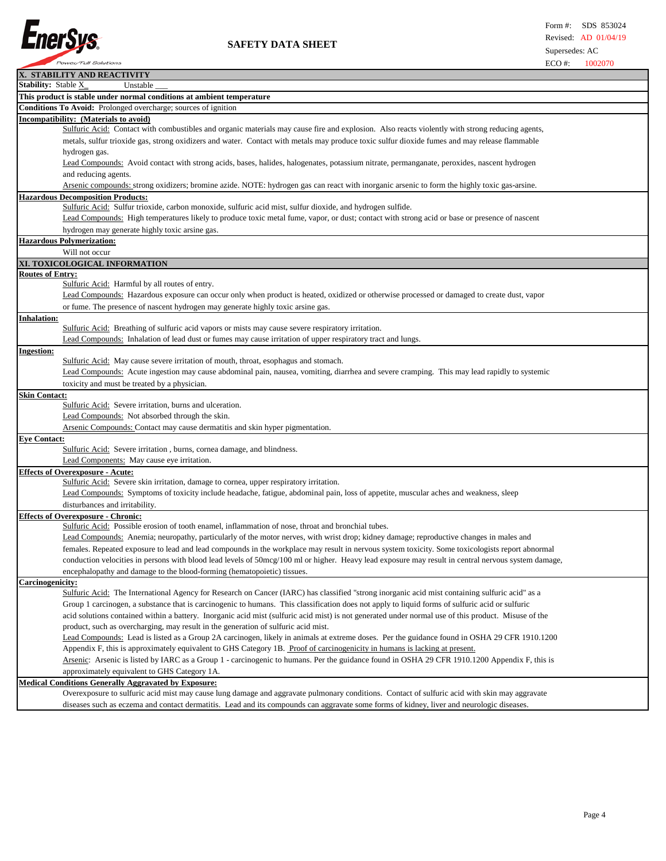

|                         | X. STABILITY AND REACTIVITY                                                                                                                          |
|-------------------------|------------------------------------------------------------------------------------------------------------------------------------------------------|
| Stability: Stable X_    | Unstable                                                                                                                                             |
|                         | This product is stable under normal conditions at ambient temperature                                                                                |
|                         | Conditions To Avoid: Prolonged overcharge; sources of ignition                                                                                       |
|                         | Incompatibility: (Materials to avoid)                                                                                                                |
|                         | Sulfuric Acid: Contact with combustibles and organic materials may cause fire and explosion. Also reacts violently with strong reducing agents,      |
|                         | metals, sulfur trioxide gas, strong oxidizers and water. Contact with metals may produce toxic sulfur dioxide fumes and may release flammable        |
|                         | hydrogen gas.                                                                                                                                        |
|                         | Lead Compounds: Avoid contact with strong acids, bases, halides, halogenates, potassium nitrate, permanganate, peroxides, nascent hydrogen           |
|                         | and reducing agents.                                                                                                                                 |
|                         | Arsenic compounds: strong oxidizers; bromine azide. NOTE: hydrogen gas can react with inorganic arsenic to form the highly toxic gas-arsine.         |
|                         | <b>Hazardous Decomposition Products:</b>                                                                                                             |
|                         | Sulfuric Acid: Sulfur trioxide, carbon monoxide, sulfuric acid mist, sulfur dioxide, and hydrogen sulfide.                                           |
|                         | Lead Compounds: High temperatures likely to produce toxic metal fume, vapor, or dust; contact with strong acid or base or presence of nascent        |
|                         | hydrogen may generate highly toxic arsine gas.                                                                                                       |
|                         | <b>Hazardous Polymerization:</b>                                                                                                                     |
|                         | Will not occur                                                                                                                                       |
|                         | XI. TOXICOLOGICAL INFORMATION                                                                                                                        |
| <b>Routes of Entry:</b> |                                                                                                                                                      |
|                         | Sulfuric Acid: Harmful by all routes of entry.                                                                                                       |
|                         | Lead Compounds: Hazardous exposure can occur only when product is heated, oxidized or otherwise processed or damaged to create dust, vapor           |
|                         | or fume. The presence of nascent hydrogen may generate highly toxic arsine gas.                                                                      |
| <b>Inhalation:</b>      |                                                                                                                                                      |
|                         | Sulfuric Acid: Breathing of sulfuric acid vapors or mists may cause severe respiratory irritation.                                                   |
|                         | Lead Compounds: Inhalation of lead dust or fumes may cause irritation of upper respiratory tract and lungs.                                          |
| <b>Ingestion:</b>       |                                                                                                                                                      |
|                         | Sulfuric Acid: May cause severe irritation of mouth, throat, esophagus and stomach.                                                                  |
|                         | Lead Compounds: Acute ingestion may cause abdominal pain, nausea, vomiting, diarrhea and severe cramping. This may lead rapidly to systemic          |
|                         | toxicity and must be treated by a physician.                                                                                                         |
| <b>Skin Contact:</b>    |                                                                                                                                                      |
|                         | Sulfuric Acid: Severe irritation, burns and ulceration.                                                                                              |
|                         | Lead Compounds: Not absorbed through the skin.                                                                                                       |
|                         | Arsenic Compounds: Contact may cause dermatitis and skin hyper pigmentation.                                                                         |
| <b>Eye Contact:</b>     |                                                                                                                                                      |
|                         | Sulfuric Acid: Severe irritation, burns, cornea damage, and blindness.                                                                               |
|                         | Lead Components: May cause eye irritation.                                                                                                           |
|                         | <b>Effects of Overexposure - Acute:</b>                                                                                                              |
|                         | Sulfuric Acid: Severe skin irritation, damage to cornea, upper respiratory irritation.                                                               |
|                         | Lead Compounds: Symptoms of toxicity include headache, fatigue, abdominal pain, loss of appetite, muscular aches and weakness, sleep                 |
|                         | disturbances and irritability.                                                                                                                       |
|                         | <b>Effects of Overexposure - Chronic:</b><br>Sulfuric Acid: Possible erosion of tooth enamel, inflammation of nose, throat and bronchial tubes.      |
|                         | Lead Compounds: Anemia; neuropathy, particularly of the motor nerves, with wrist drop; kidney damage; reproductive changes in males and              |
|                         | females. Repeated exposure to lead and lead compounds in the workplace may result in nervous system toxicity. Some toxicologists report abnormal     |
|                         | conduction velocities in persons with blood lead levels of 50mcg/100 ml or higher. Heavy lead exposure may result in central nervous system damage,  |
|                         |                                                                                                                                                      |
|                         | encephalopathy and damage to the blood-forming (hematopoietic) tissues.                                                                              |
| Carcinogenicity:        | Sulfuric Acid: The International Agency for Research on Cancer (IARC) has classified "strong inorganic acid mist containing sulfuric acid" as a      |
|                         | Group 1 carcinogen, a substance that is carcinogenic to humans. This classification does not apply to liquid forms of sulfuric acid or sulfuric      |
|                         | acid solutions contained within a battery. Inorganic acid mist (sulfuric acid mist) is not generated under normal use of this product. Misuse of the |
|                         | product, such as overcharging, may result in the generation of sulfuric acid mist.                                                                   |
|                         | Lead Compounds: Lead is listed as a Group 2A carcinogen, likely in animals at extreme doses. Per the guidance found in OSHA 29 CFR 1910.1200         |
|                         | Appendix F, this is approximately equivalent to GHS Category 1B. Proof of carcinogenicity in humans is lacking at present.                           |
|                         | Arsenic: Arsenic is listed by IARC as a Group 1 - carcinogenic to humans. Per the guidance found in OSHA 29 CFR 1910.1200 Appendix F, this is        |
|                         | approximately equivalent to GHS Category 1A.                                                                                                         |
|                         | <b>Medical Conditions Generally Aggravated by Exposure:</b>                                                                                          |
|                         | Overexposure to sulfuric acid mist may cause lung damage and aggravate pulmonary conditions. Contact of sulfuric acid with skin may aggravate        |
|                         | diseases such as eczema and contact dermatitis. Lead and its compounds can aggravate some forms of kidney, liver and neurologic diseases.            |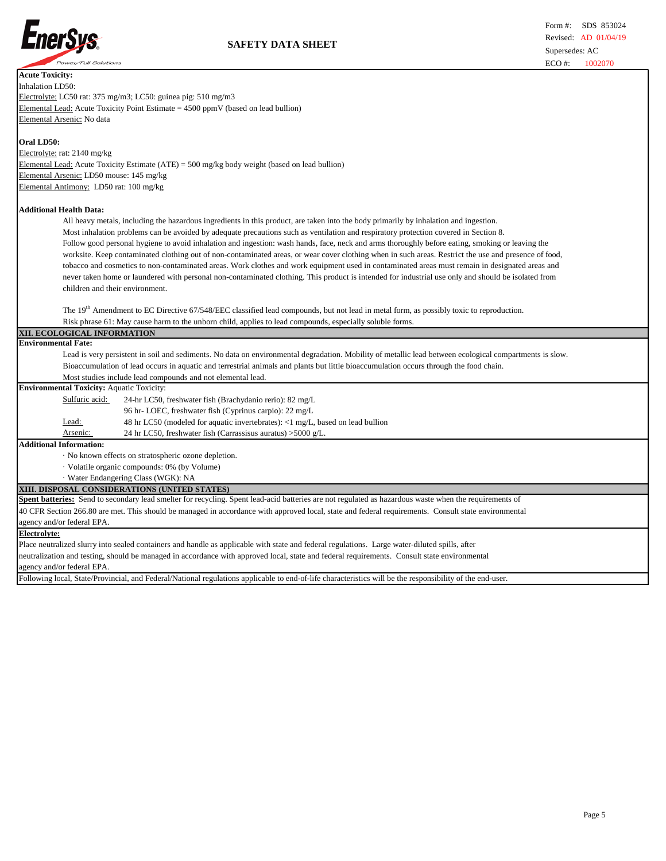

| <b>Acute Toxicity:</b>                                                                                                                                                     |  |  |  |  |  |
|----------------------------------------------------------------------------------------------------------------------------------------------------------------------------|--|--|--|--|--|
| Inhalation LD50:                                                                                                                                                           |  |  |  |  |  |
| Electrolyte: LC50 rat: 375 mg/m3; LC50: guinea pig: 510 mg/m3                                                                                                              |  |  |  |  |  |
| Elemental Lead: Acute Toxicity Point Estimate $= 4500$ ppmV (based on lead bullion)                                                                                        |  |  |  |  |  |
| Elemental Arsenic: No data                                                                                                                                                 |  |  |  |  |  |
| Oral LD50:                                                                                                                                                                 |  |  |  |  |  |
| Electrolyte: rat: 2140 mg/kg                                                                                                                                               |  |  |  |  |  |
| Elemental Lead: Acute Toxicity Estimate $(ATE) = 500$ mg/kg body weight (based on lead bullion)                                                                            |  |  |  |  |  |
| Elemental Arsenic: LD50 mouse: 145 mg/kg                                                                                                                                   |  |  |  |  |  |
| Elemental Antimony: LD50 rat: 100 mg/kg                                                                                                                                    |  |  |  |  |  |
| <b>Additional Health Data:</b>                                                                                                                                             |  |  |  |  |  |
| All heavy metals, including the hazardous ingredients in this product, are taken into the body primarily by inhalation and ingestion.                                      |  |  |  |  |  |
| Most inhalation problems can be avoided by adequate precautions such as ventilation and respiratory protection covered in Section 8.                                       |  |  |  |  |  |
| Follow good personal hygiene to avoid inhalation and ingestion: wash hands, face, neck and arms thoroughly before eating, smoking or leaving the                           |  |  |  |  |  |
| worksite. Keep contaminated clothing out of non-contaminated areas, or wear cover clothing when in such areas. Restrict the use and presence of food,                      |  |  |  |  |  |
| tobacco and cosmetics to non-contaminated areas. Work clothes and work equipment used in contaminated areas must remain in designated areas and                            |  |  |  |  |  |
| never taken home or laundered with personal non-contaminated clothing. This product is intended for industrial use only and should be isolated from                        |  |  |  |  |  |
| children and their environment.                                                                                                                                            |  |  |  |  |  |
|                                                                                                                                                                            |  |  |  |  |  |
| The 19 <sup>th</sup> Amendment to EC Directive 67/548/EEC classified lead compounds, but not lead in metal form, as possibly toxic to reproduction.                        |  |  |  |  |  |
| Risk phrase 61: May cause harm to the unborn child, applies to lead compounds, especially soluble forms.                                                                   |  |  |  |  |  |
| XII. ECOLOGICAL INFORMATION                                                                                                                                                |  |  |  |  |  |
| <b>Environmental Fate:</b>                                                                                                                                                 |  |  |  |  |  |
|                                                                                                                                                                            |  |  |  |  |  |
| Lead is very persistent in soil and sediments. No data on environmental degradation. Mobility of metallic lead between ecological compartments is slow.                    |  |  |  |  |  |
| Bioaccumulation of lead occurs in aquatic and terrestrial animals and plants but little bioaccumulation occurs through the food chain.                                     |  |  |  |  |  |
| Most studies include lead compounds and not elemental lead.                                                                                                                |  |  |  |  |  |
| <b>Environmental Toxicity: Aquatic Toxicity:</b>                                                                                                                           |  |  |  |  |  |
| Sulfuric acid:<br>24-hr LC50, freshwater fish (Brachydanio rerio): 82 mg/L                                                                                                 |  |  |  |  |  |
| 96 hr-LOEC, freshwater fish (Cyprinus carpio): 22 mg/L                                                                                                                     |  |  |  |  |  |
| Lead:<br>48 hr LC50 (modeled for aquatic invertebrates): <1 mg/L, based on lead bullion                                                                                    |  |  |  |  |  |
| 24 hr LC50, freshwater fish (Carrassisus auratus) >5000 g/L.<br>Arsenic:                                                                                                   |  |  |  |  |  |
| <b>Additional Information:</b>                                                                                                                                             |  |  |  |  |  |
| · No known effects on stratospheric ozone depletion.                                                                                                                       |  |  |  |  |  |
| · Volatile organic compounds: 0% (by Volume)                                                                                                                               |  |  |  |  |  |
| · Water Endangering Class (WGK): NA                                                                                                                                        |  |  |  |  |  |
| XIII. DISPOSAL CONSIDERATIONS (UNITED STATES)                                                                                                                              |  |  |  |  |  |
| Spent batteries: Send to secondary lead smelter for recycling. Spent lead-acid batteries are not regulated as hazardous waste when the requirements of                     |  |  |  |  |  |
| 40 CFR Section 266.80 are met. This should be managed in accordance with approved local, state and federal requirements. Consult state environmental                       |  |  |  |  |  |
| agency and/or federal EPA.                                                                                                                                                 |  |  |  |  |  |
| <b>Electrolyte:</b>                                                                                                                                                        |  |  |  |  |  |
| Place neutralized slurry into sealed containers and handle as applicable with state and federal regulations. Large water-diluted spills, after                             |  |  |  |  |  |
| neutralization and testing, should be managed in accordance with approved local, state and federal requirements. Consult state environmental<br>agency and/or federal EPA. |  |  |  |  |  |

Following local, State/Provincial, and Federal/National regulations applicable to end-of-life characteristics will be the responsibility of the end-user.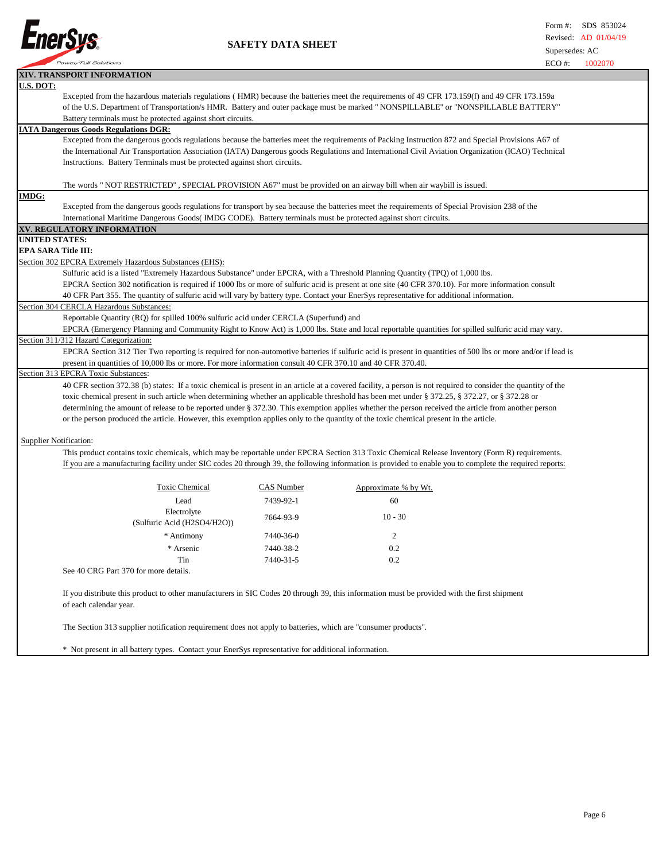

 **SAFETY DATA SHEET**

|                               |                                                                                                                                                          |            | $ECO$ #:                                                                                                                                                       | 1002070 |  |
|-------------------------------|----------------------------------------------------------------------------------------------------------------------------------------------------------|------------|----------------------------------------------------------------------------------------------------------------------------------------------------------------|---------|--|
|                               | XIV. TRANSPORT INFORMATION                                                                                                                               |            |                                                                                                                                                                |         |  |
| <b>U.S. DOT:</b>              |                                                                                                                                                          |            |                                                                                                                                                                |         |  |
|                               | Excepted from the hazardous materials regulations (HMR) because the batteries meet the requirements of 49 CFR 173.159(f) and 49 CFR 173.159a             |            |                                                                                                                                                                |         |  |
|                               | of the U.S. Department of Transportation/s HMR. Battery and outer package must be marked "NONSPILLABLE" or "NONSPILLABLE BATTERY"                        |            |                                                                                                                                                                |         |  |
|                               | Battery terminals must be protected against short circuits.                                                                                              |            |                                                                                                                                                                |         |  |
|                               | <b>IATA Dangerous Goods Regulations DGR:</b>                                                                                                             |            |                                                                                                                                                                |         |  |
|                               |                                                                                                                                                          |            |                                                                                                                                                                |         |  |
|                               | Excepted from the dangerous goods regulations because the batteries meet the requirements of Packing Instruction 872 and Special Provisions A67 of       |            |                                                                                                                                                                |         |  |
|                               | the International Air Transportation Association (IATA) Dangerous goods Regulations and International Civil Aviation Organization (ICAO) Technical       |            |                                                                                                                                                                |         |  |
|                               | Instructions. Battery Terminals must be protected against short circuits.                                                                                |            |                                                                                                                                                                |         |  |
|                               |                                                                                                                                                          |            |                                                                                                                                                                |         |  |
|                               | The words "NOT RESTRICTED", SPECIAL PROVISION A67" must be provided on an airway bill when air waybill is issued.                                        |            |                                                                                                                                                                |         |  |
| <b>IMDG:</b>                  |                                                                                                                                                          |            |                                                                                                                                                                |         |  |
|                               |                                                                                                                                                          |            | Excepted from the dangerous goods regulations for transport by sea because the batteries meet the requirements of Special Provision 238 of the                 |         |  |
|                               | International Maritime Dangerous Goods (IMDG CODE). Battery terminals must be protected against short circuits.                                          |            |                                                                                                                                                                |         |  |
|                               | XV. REGULATORY INFORMATION                                                                                                                               |            |                                                                                                                                                                |         |  |
| <b>UNITED STATES:</b>         |                                                                                                                                                          |            |                                                                                                                                                                |         |  |
| <b>EPA SARA Title III:</b>    |                                                                                                                                                          |            |                                                                                                                                                                |         |  |
|                               | Section 302 EPCRA Extremely Hazardous Substances (EHS):                                                                                                  |            |                                                                                                                                                                |         |  |
|                               |                                                                                                                                                          |            |                                                                                                                                                                |         |  |
|                               | Sulfuric acid is a listed "Extremely Hazardous Substance" under EPCRA, with a Threshold Planning Quantity (TPQ) of 1,000 lbs.                            |            |                                                                                                                                                                |         |  |
|                               |                                                                                                                                                          |            | EPCRA Section 302 notification is required if 1000 lbs or more of sulfuric acid is present at one site (40 CFR 370.10). For more information consult           |         |  |
|                               |                                                                                                                                                          |            | 40 CFR Part 355. The quantity of sulfuric acid will vary by battery type. Contact your EnerSys representative for additional information.                      |         |  |
|                               | Section 304 CERCLA Hazardous Substances:                                                                                                                 |            |                                                                                                                                                                |         |  |
|                               | Reportable Quantity (RQ) for spilled 100% sulfuric acid under CERCLA (Superfund) and                                                                     |            |                                                                                                                                                                |         |  |
|                               |                                                                                                                                                          |            | EPCRA (Emergency Planning and Community Right to Know Act) is 1,000 lbs. State and local reportable quantities for spilled sulfuric acid may vary.             |         |  |
|                               | Section 311/312 Hazard Categorization:                                                                                                                   |            |                                                                                                                                                                |         |  |
|                               |                                                                                                                                                          |            | EPCRA Section 312 Tier Two reporting is required for non-automotive batteries if sulfuric acid is present in quantities of 500 lbs or more and/or if lead is   |         |  |
|                               | present in quantities of 10,000 lbs or more. For more information consult 40 CFR 370.10 and 40 CFR 370.40.                                               |            |                                                                                                                                                                |         |  |
|                               | Section 313 EPCRA Toxic Substances:                                                                                                                      |            |                                                                                                                                                                |         |  |
|                               |                                                                                                                                                          |            |                                                                                                                                                                |         |  |
|                               |                                                                                                                                                          |            | 40 CFR section 372.38 (b) states: If a toxic chemical is present in an article at a covered facility, a person is not required to consider the quantity of the |         |  |
|                               |                                                                                                                                                          |            | toxic chemical present in such article when determining whether an applicable threshold has been met under § 372.25, § 372.27, or § 372.28 or                  |         |  |
|                               |                                                                                                                                                          |            | determining the amount of release to be reported under § 372.30. This exemption applies whether the person received the article from another person            |         |  |
|                               | or the person produced the article. However, this exemption applies only to the quantity of the toxic chemical present in the article.                   |            |                                                                                                                                                                |         |  |
|                               |                                                                                                                                                          |            |                                                                                                                                                                |         |  |
| <b>Supplier Notification:</b> |                                                                                                                                                          |            |                                                                                                                                                                |         |  |
|                               |                                                                                                                                                          |            | This product contains toxic chemicals, which may be reportable under EPCRA Section 313 Toxic Chemical Release Inventory (Form R) requirements.                 |         |  |
|                               | If you are a manufacturing facility under SIC codes 20 through 39, the following information is provided to enable you to complete the required reports: |            |                                                                                                                                                                |         |  |
|                               |                                                                                                                                                          |            |                                                                                                                                                                |         |  |
|                               |                                                                                                                                                          |            |                                                                                                                                                                |         |  |
|                               | <b>Toxic Chemical</b>                                                                                                                                    | CAS Number | Approximate % by Wt.                                                                                                                                           |         |  |
|                               | Lead                                                                                                                                                     | 7439-92-1  | 60                                                                                                                                                             |         |  |
|                               | Electrolyte                                                                                                                                              |            |                                                                                                                                                                |         |  |
|                               | (Sulfuric Acid (H2SO4/H2O))                                                                                                                              | 7664-93-9  | $10 - 30$                                                                                                                                                      |         |  |
|                               |                                                                                                                                                          |            |                                                                                                                                                                |         |  |
|                               | * Antimony                                                                                                                                               | 7440-36-0  | 2                                                                                                                                                              |         |  |
|                               | * Arsenic                                                                                                                                                | 7440-38-2  | 0.2                                                                                                                                                            |         |  |
|                               | Tin                                                                                                                                                      | 7440-31-5  | 0.2                                                                                                                                                            |         |  |
|                               | See 40 CRG Part 370 for more details.                                                                                                                    |            |                                                                                                                                                                |         |  |
|                               |                                                                                                                                                          |            |                                                                                                                                                                |         |  |
|                               | If you distribute this product to other manufacturers in SIC Codes 20 through 39, this information must be provided with the first shipment              |            |                                                                                                                                                                |         |  |
|                               |                                                                                                                                                          |            |                                                                                                                                                                |         |  |
|                               | of each calendar year.                                                                                                                                   |            |                                                                                                                                                                |         |  |
|                               |                                                                                                                                                          |            |                                                                                                                                                                |         |  |
|                               | The Section 313 supplier notification requirement does not apply to batteries, which are "consumer products".                                            |            |                                                                                                                                                                |         |  |
|                               |                                                                                                                                                          |            |                                                                                                                                                                |         |  |

\* Not present in all battery types. Contact your EnerSys representative for additional information.